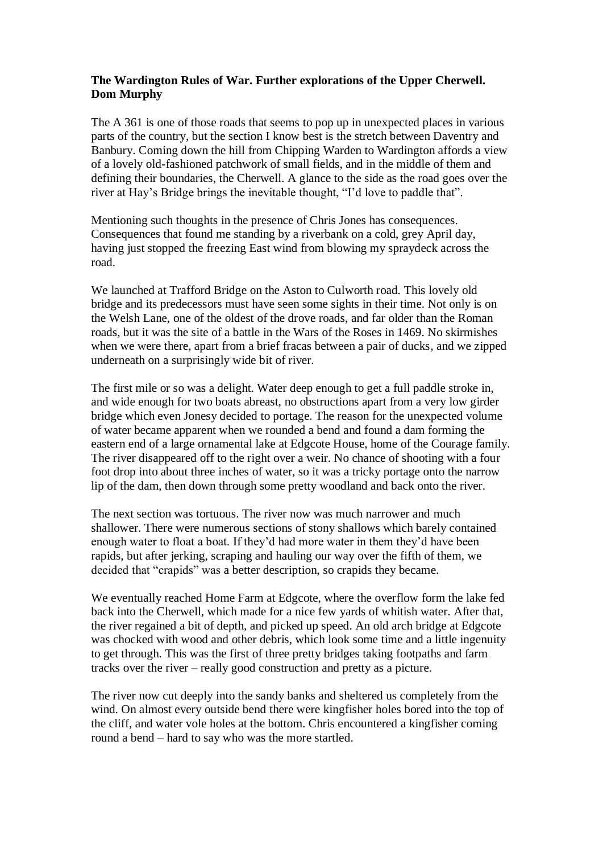## **The Wardington Rules of War. Further explorations of the Upper Cherwell. Dom Murphy**

The A 361 is one of those roads that seems to pop up in unexpected places in various parts of the country, but the section I know best is the stretch between Daventry and Banbury. Coming down the hill from Chipping Warden to Wardington affords a view of a lovely old-fashioned patchwork of small fields, and in the middle of them and defining their boundaries, the Cherwell. A glance to the side as the road goes over the river at Hay's Bridge brings the inevitable thought, "I'd love to paddle that".

Mentioning such thoughts in the presence of Chris Jones has consequences. Consequences that found me standing by a riverbank on a cold, grey April day, having just stopped the freezing East wind from blowing my spraydeck across the road.

We launched at Trafford Bridge on the Aston to Culworth road. This lovely old bridge and its predecessors must have seen some sights in their time. Not only is on the Welsh Lane, one of the oldest of the drove roads, and far older than the Roman roads, but it was the site of a battle in the Wars of the Roses in 1469. No skirmishes when we were there, apart from a brief fracas between a pair of ducks, and we zipped underneath on a surprisingly wide bit of river.

The first mile or so was a delight. Water deep enough to get a full paddle stroke in, and wide enough for two boats abreast, no obstructions apart from a very low girder bridge which even Jonesy decided to portage. The reason for the unexpected volume of water became apparent when we rounded a bend and found a dam forming the eastern end of a large ornamental lake at Edgcote House, home of the Courage family. The river disappeared off to the right over a weir. No chance of shooting with a four foot drop into about three inches of water, so it was a tricky portage onto the narrow lip of the dam, then down through some pretty woodland and back onto the river.

The next section was tortuous. The river now was much narrower and much shallower. There were numerous sections of stony shallows which barely contained enough water to float a boat. If they'd had more water in them they'd have been rapids, but after jerking, scraping and hauling our way over the fifth of them, we decided that "crapids" was a better description, so crapids they became.

We eventually reached Home Farm at Edgcote, where the overflow form the lake fed back into the Cherwell, which made for a nice few yards of whitish water. After that, the river regained a bit of depth, and picked up speed. An old arch bridge at Edgcote was chocked with wood and other debris, which look some time and a little ingenuity to get through. This was the first of three pretty bridges taking footpaths and farm tracks over the river – really good construction and pretty as a picture.

The river now cut deeply into the sandy banks and sheltered us completely from the wind. On almost every outside bend there were kingfisher holes bored into the top of the cliff, and water vole holes at the bottom. Chris encountered a kingfisher coming round a bend – hard to say who was the more startled.